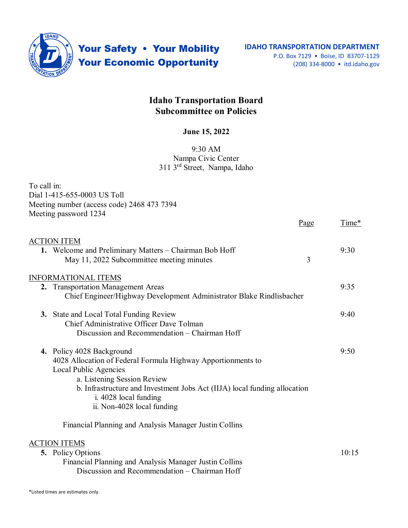

Your Safety . Your Mobility **Your Economic Opportunity** 

## **Idaho Transportation Board Subcommittee on Policies**

## **June 15, 2022**

## 9:30 AM Nampa Civic Center 311 3rd Street, Nampa, Idaho

| To call in:                                                                           |      |       |
|---------------------------------------------------------------------------------------|------|-------|
| Dial 1-415-655-0003 US Toll                                                           |      |       |
| Meeting number (access code) 2468 473 7394                                            |      |       |
| Meeting password 1234                                                                 |      |       |
|                                                                                       | Page | Time* |
| <b>ACTION ITEM</b>                                                                    |      |       |
| 1. Welcome and Preliminary Matters - Chairman Bob Hoff                                |      | 9:30  |
| May 11, 2022 Subcommittee meeting minutes                                             | 3    |       |
| <b>INFORMATIONAL ITEMS</b>                                                            |      |       |
| 2. Transportation Management Areas                                                    |      | 9:35  |
| Chief Engineer/Highway Development Administrator Blake Rindlisbacher                  |      |       |
| 3. State and Local Total Funding Review                                               |      | 9:40  |
| Chief Administrative Officer Dave Tolman                                              |      |       |
| Discussion and Recommendation - Chairman Hoff                                         |      |       |
| 4. Policy 4028 Background                                                             |      | 9:50  |
| 4028 Allocation of Federal Formula Highway Apportionments to<br>Local Public Agencies |      |       |
| a. Listening Session Review                                                           |      |       |
| b. Infrastructure and Investment Jobs Act (IIJA) local funding allocation             |      |       |
| i. 4028 local funding                                                                 |      |       |
| ii. Non-4028 local funding                                                            |      |       |
| Financial Planning and Analysis Manager Justin Collins                                |      |       |
| <b>ACTION ITEMS</b>                                                                   |      |       |
| <b>5.</b> Policy Options                                                              |      | 10:15 |
| Financial Planning and Analysis Manager Justin Collins                                |      |       |

Discussion and Recommendation – Chairman Hoff